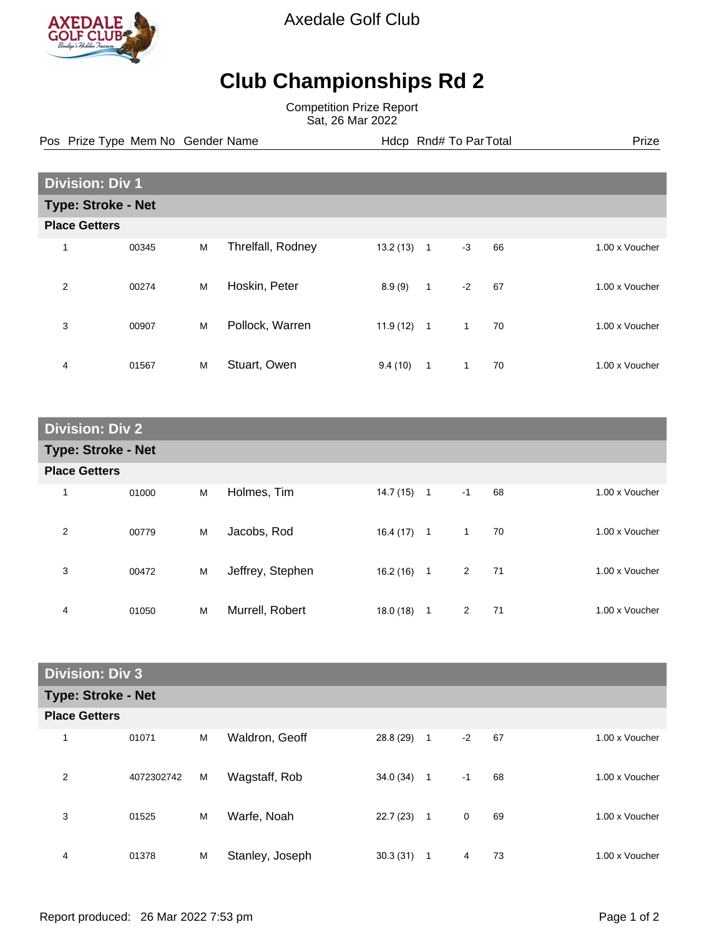

Axedale Golf Club

## **Club Championships Rd 2**

Competition Prize Report Sat, 26 Mar 2022

Pos Prize Type Mem No Gender Name **Health Hotel Rnd# To ParTotal** Prize

| <b>Division: Div 1</b>    |       |   |                   |          |                |              |    |                |
|---------------------------|-------|---|-------------------|----------|----------------|--------------|----|----------------|
| <b>Type: Stroke - Net</b> |       |   |                   |          |                |              |    |                |
| <b>Place Getters</b>      |       |   |                   |          |                |              |    |                |
| 1                         | 00345 | M | Threlfall, Rodney | 13.2(13) | $\mathbf{1}$   | $-3$         | 66 | 1.00 x Voucher |
| $\overline{2}$            | 00274 | M | Hoskin, Peter     | 8.9(9)   | $\mathbf{1}$   | $-2$         | 67 | 1.00 x Voucher |
| 3                         | 00907 | M | Pollock, Warren   | 11.9(12) | $\overline{1}$ | 1            | 70 | 1.00 x Voucher |
| 4                         | 01567 | M | Stuart, Owen      | 9.4(10)  | 1              | $\mathbf{1}$ | 70 | 1.00 x Voucher |

| <b>Division: Div 2</b>    |       |   |                  |           |                |                |    |  |                |
|---------------------------|-------|---|------------------|-----------|----------------|----------------|----|--|----------------|
| <b>Type: Stroke - Net</b> |       |   |                  |           |                |                |    |  |                |
| <b>Place Getters</b>      |       |   |                  |           |                |                |    |  |                |
| 1                         | 01000 | M | Holmes, Tim      | 14.7(15)  | $\overline{1}$ | $-1$           | 68 |  | 1.00 x Voucher |
| 2                         | 00779 | М | Jacobs, Rod      | 16.4(17)  | $\mathbf{1}$   | $\mathbf{1}$   | 70 |  | 1.00 x Voucher |
| 3                         | 00472 | M | Jeffrey, Stephen | 16.2(16)  | $\overline{1}$ | 2              | 71 |  | 1.00 x Voucher |
| 4                         | 01050 | M | Murrell, Robert  | 18.0 (18) | 1              | $\overline{2}$ | 71 |  | 1.00 x Voucher |

| <b>Division: Div 3</b>    |            |   |                 |           |              |             |    |                |
|---------------------------|------------|---|-----------------|-----------|--------------|-------------|----|----------------|
| <b>Type: Stroke - Net</b> |            |   |                 |           |              |             |    |                |
| <b>Place Getters</b>      |            |   |                 |           |              |             |    |                |
| 1                         | 01071      | M | Waldron, Geoff  | 28.8 (29) | 1            | $-2$        | 67 | 1.00 x Voucher |
| 2                         | 4072302742 | M | Wagstaff, Rob   | 34.0(34)  | 1            | $-1$        | 68 | 1.00 x Voucher |
| 3                         | 01525      | M | Warfe, Noah     | 22.7 (23) | $\mathbf{1}$ | $\mathbf 0$ | 69 | 1.00 x Voucher |
| 4                         | 01378      | M | Stanley, Joseph | 30.3(31)  | 1            | 4           | 73 | 1.00 x Voucher |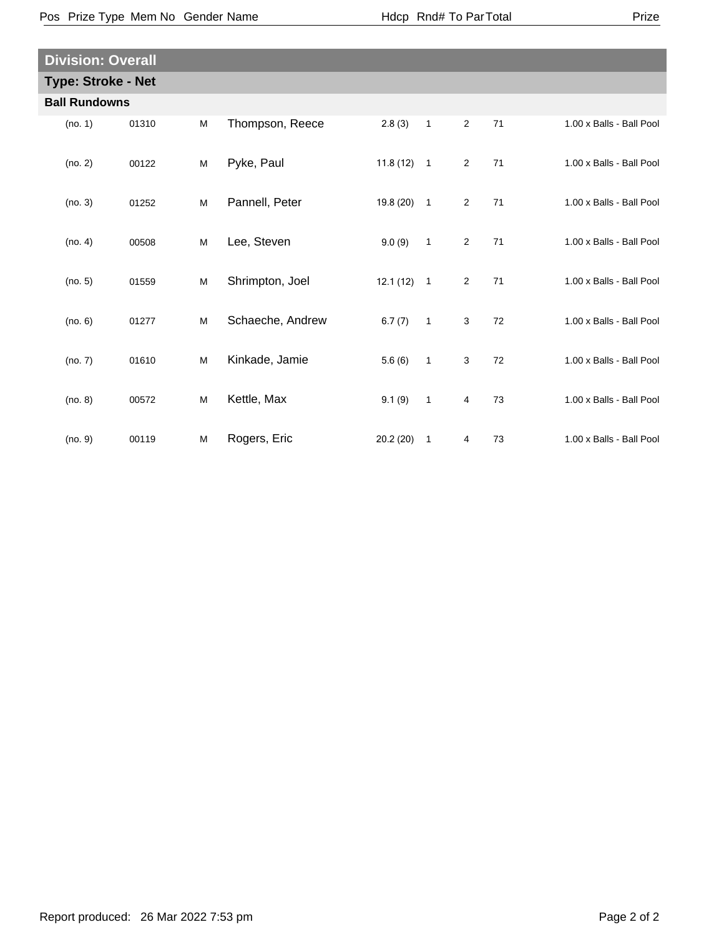| <b>Division: Overall</b>  |       |   |                  |              |                            |                |    |                          |  |
|---------------------------|-------|---|------------------|--------------|----------------------------|----------------|----|--------------------------|--|
| <b>Type: Stroke - Net</b> |       |   |                  |              |                            |                |    |                          |  |
| <b>Ball Rundowns</b>      |       |   |                  |              |                            |                |    |                          |  |
| (no. 1)                   | 01310 | M | Thompson, Reece  | 2.8(3)       | $\mathbf{1}$               | $\overline{2}$ | 71 | 1.00 x Balls - Ball Pool |  |
| (no. 2)                   | 00122 | M | Pyke, Paul       | $11.8(12)$ 1 |                            | $\overline{2}$ | 71 | 1.00 x Balls - Ball Pool |  |
| (no. 3)                   | 01252 | M | Pannell, Peter   | $19.8(20)$ 1 |                            | $\overline{2}$ | 71 | 1.00 x Balls - Ball Pool |  |
| (no. 4)                   | 00508 | M | Lee, Steven      | 9.0(9)       | $\mathbf{1}$               | $\overline{2}$ | 71 | 1.00 x Balls - Ball Pool |  |
| (no. 5)                   | 01559 | M | Shrimpton, Joel  | $12.1(12)$ 1 |                            | $\overline{2}$ | 71 | 1.00 x Balls - Ball Pool |  |
| (no. 6)                   | 01277 | M | Schaeche, Andrew | 6.7(7)       | $\overline{\phantom{0}}$ 1 | 3              | 72 | 1.00 x Balls - Ball Pool |  |
| (no. 7)                   | 01610 | M | Kinkade, Jamie   | 5.6(6)       | $\overline{1}$             | 3              | 72 | 1.00 x Balls - Ball Pool |  |
| (no. 8)                   | 00572 | M | Kettle, Max      | 9.1(9)       | $\mathbf{1}$               | 4              | 73 | 1.00 x Balls - Ball Pool |  |
| (no. 9)                   | 00119 | M | Rogers, Eric     | 20.2(20)     | 1                          | 4              | 73 | 1.00 x Balls - Ball Pool |  |